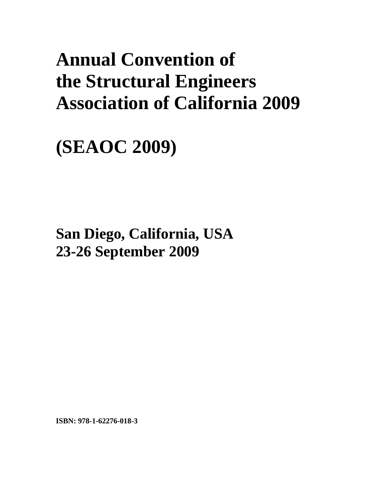# **Annual Convention of the Structural Engineers Association of California 2009**

**(SEAOC 2009)** 

**San Diego, California, USA 23-26 September 2009**

**ISBN: 978-1-62276-018-3**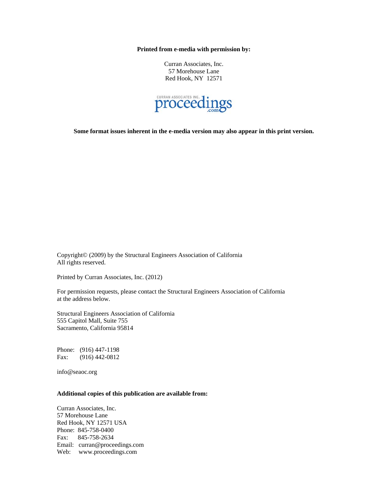**Printed from e-media with permission by:** 

Curran Associates, Inc. 57 Morehouse Lane Red Hook, NY 12571



**Some format issues inherent in the e-media version may also appear in this print version.** 

Copyright© (2009) by the Structural Engineers Association of California All rights reserved.

Printed by Curran Associates, Inc. (2012)

For permission requests, please contact the Structural Engineers Association of California at the address below.

Structural Engineers Association of California 555 Capitol Mall, Suite 755 Sacramento, California 95814

Phone: (916) 447-1198 Fax: (916) 442-0812

info@seaoc.org

#### **Additional copies of this publication are available from:**

Curran Associates, Inc. 57 Morehouse Lane Red Hook, NY 12571 USA Phone: 845-758-0400 Fax: 845-758-2634 Email: curran@proceedings.com Web: www.proceedings.com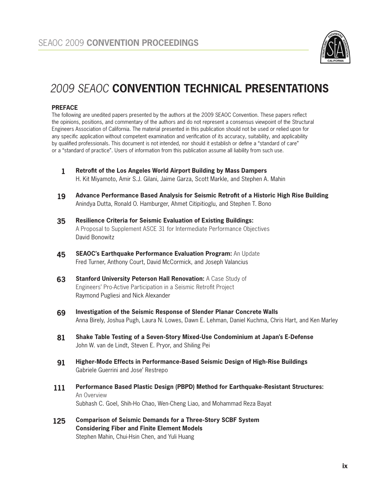

## *2009 SEAOC* **CONVENTION TECHNICAL PRESENTATIONS**

#### **PREFACE**

The following are unedited papers presented by the authors at the 2009 SEAOC Convention. These papers reflect the opinions, positions, and commentary of the authors and do not represent a consensus viewpoint of the Structural Engineers Association of California. The material presented in this publication should not be used or relied upon for any specific application without competent examination and verification of its accuracy, suitability, and applicability by qualified professionals. This document is not intended, nor should it establish or define a "standard of care" or a "standard of practice". Users of information from this publication assume all liability from such use.

- **Retrofit of the Los Angeles World Airport Building by Mass Dampers** H. Kit Miyamoto, Amir S.J. Gilani, Jaime Garza, Scott Markle, and Stephen A. Mahin **1**
- **Advance Performance Based Analysis for Seismic Retrofit of a Historic High Rise Building** Anindya Dutta, Ronald O. Hamburger, Ahmet Citipitioglu, and Stephen T. Bono **19**
- **Resilience Criteria for Seismic Evaluation of Existing Buildings:** A Proposal to Supplement ASCE 31 for Intermediate Performance Objectives David Bonowitz **35**
- **SEAOC's Earthquake Performance Evaluation Program:** An Update Fred Turner, Anthony Court, David McCormick, and Joseph Valancius **45**
- **Stanford University Peterson Hall Renovation:** A Case Study of Engineers' Pro-Active Participation in a Seismic Retrofit Project Raymond Pugliesi and Nick Alexander **63**
- **Investigation of the Seismic Response of Slender Planar Concrete Walls** Anna Birely, Joshua Pugh, Laura N. Lowes, Dawn E. Lehman, Daniel Kuchma, Chris Hart, and Ken Marley **69**
- **Shake Table Testing of a Seven-Story Mixed-Use Condominium at Japan's E-Defense** John W. van de Lindt, Steven E. Pryor, and Shiling Pei **81**
- **Higher-Mode Effects in Performance-Based Seismic Design of High-Rise Buildings** Gabriele Guerrini and Jose' Restrepo **91**
- **Performance Based Plastic Design (PBPD) Method for Earthquake-Resistant Structures:** An Overview Subhash C. Goel, Shih-Ho Chao, Wen-Cheng Liao, and Mohammad Reza Bayat **111**
- **Comparison of Seismic Demands for a Three-Story SCBF System Considering Fiber and Finite Element Models** Stephen Mahin, Chui-Hsin Chen, and Yuli Huang **125**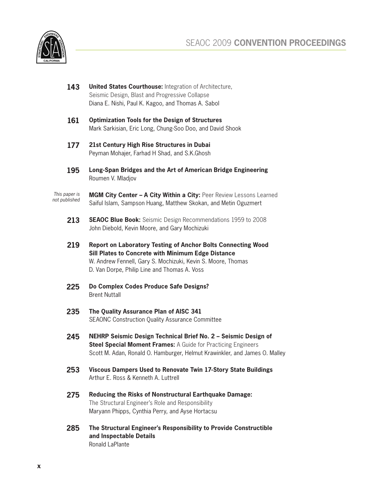

- **143 United States Courthouse:** Integration of Architecture, Seismic Design, Blast and Progressive Collapse Diana E. Nishi, Paul K. Kagoo, and Thomas A. Sabol
- **161 Optimization Tools for the Design of Structures**  Mark Sarkisian, Eric Long, Chung-Soo Doo, and David Shook
- **177 21st Century High Rise Structures in Dubai** Peyman Mohajer, Farhad H Shad, and S.K.Ghosh
- **195 Long-Span Bridges and the Art of American Bridge Engineering** Roumen V. Mladjov

**MGM City Center - A City Within a City: Peer Review Lessons Learned** Saiful Islam, Sampson Huang, Matthew Skokan, and Metin Oguzmert *This paper is not published*

- **213 SEAOC Blue Book:** Seismic Design Recommendations 1959 to 2008 John Diebold, Kevin Moore, and Gary Mochizuki
- **219 Report on Laboratory Testing of Anchor Bolts Connecting Wood Sill Plates to Concrete with Minimum Edge Distance** W. Andrew Fennell, Gary S. Mochizuki, Kevin S. Moore, Thomas D. Van Dorpe, Philip Line and Thomas A. Voss
- **225 Do Complex Codes Produce Safe Designs?** Brent Nuttall
- **235 The Quality Assurance Plan of AISC 341** SEAONC Construction Quality Assurance Committee
- **245 NEHRP Seismic Design Technical Brief No. 2 – Seismic Design of Steel Special Moment Frames:** A Guide for Practicing Engineers Scott M. Adan, Ronald O. Hamburger, Helmut Krawinkler, and James O. Malley
- **253 Viscous Dampers Used to Renovate Twin 17-Story State Buildings** Arthur E. Ross & Kenneth A. Luttrell
- **275 Reducing the Risks of Nonstructural Earthquake Damage:**  The Structural Engineer's Role and Responsibility Maryann Phipps, Cynthia Perry, and Ayse Hortacsu
- **285 The Structural Engineer's Responsibility to Provide Constructible and Inspectable Details** Ronald LaPlante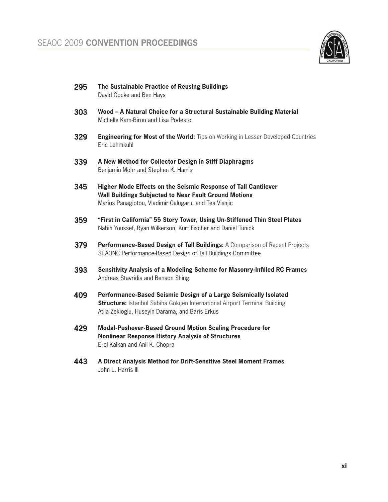

- **The Sustainable Practice of Reusing Buildings** David Cocke and Ben Hays **295**
- **Wood A Natural Choice for a Structural Sustainable Building Material** Michelle Kam-Biron and Lisa Podesto **303**
- **Engineering for Most of the World:** Tips on Working in Lesser Developed Countries Eric Lehmkuhl **329**
- **A New Method for Collector Design in Stiff Diaphragms** Benjamin Mohr and Stephen K. Harris **339**
- **Higher Mode Effects on the Seismic Response of Tall Cantilever Wall Buildings Subjected to Near Fault Ground Motions** Marios Panagiotou, Vladimir Calugaru, and Tea Visnjic **345**
- **"First in California" 55 Story Tower, Using Un-Stiffened Thin Steel Plates** Nabih Youssef, Ryan Wilkerson, Kurt Fischer and Daniel Tunick **359**
- **Performance-Based Design of Tall Buildings:** A Comparison of Recent Projects SEAONC Performance-Based Design of Tall Buildings Committee **379**
- **Sensitivity Analysis of a Modeling Scheme for Masonry-Infilled RC Frames** Andreas Stavridis and Benson Shing **393**
- **Performance-Based Seismic Design of a Large Seismically Isolated Structure:** Istanbul Sabiha Gökçen International Airport Terminal Building Atila Zekioglu, Huseyin Darama, and Baris Erkus **409**
- **Modal-Pushover-Based Ground Motion Scaling Procedure for Nonlinear Response History Analysis of Structures** Erol Kalkan and Anil K. Chopra **429**
- **A Direct Analysis Method for Drift-Sensitive Steel Moment Frames** John L. Harris III **443**